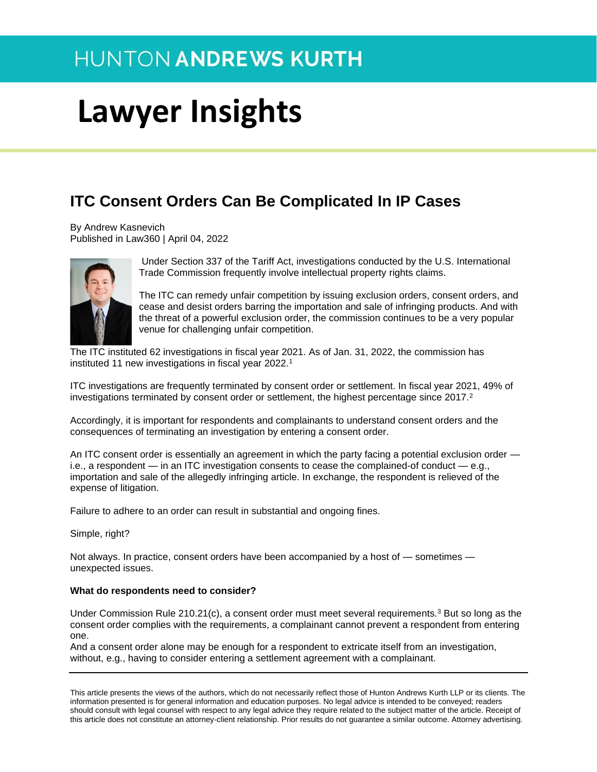# **Lawyer Insights**

### **ITC Consent Orders Can Be Complicated In IP Cases**

By Andrew Kasnevich Published in Law360 | April 04, 2022



Under Section 337 of the Tariff Act, investigations conducted by the U.S. International Trade Commission frequently involve intellectual property rights claims.

The ITC can remedy unfair competition by issuing exclusion orders, consent orders, and cease and desist orders barring the importation and sale of infringing products. And with the threat of a powerful exclusion order, the commission continues to be a very popular venue for challenging unfair competition.

The ITC instituted 62 investigations in fiscal year 2021. As of Jan. 31, 2022, the commission has instituted 11 new investigations in fiscal year 2022.<sup>1</sup>

ITC investigations are frequently terminated by consent order or settlement. In fiscal year 2021, 49% of investigations terminated by consent order or settlement, the highest percentage since 2017.<sup>2</sup>

Accordingly, it is important for respondents and complainants to understand consent orders and the consequences of terminating an investigation by entering a consent order.

An ITC consent order is essentially an agreement in which the party facing a potential exclusion order i.e., a respondent — in an ITC investigation consents to cease the complained-of conduct — e.g., importation and sale of the allegedly infringing article. In exchange, the respondent is relieved of the expense of litigation.

Failure to adhere to an order can result in substantial and ongoing fines.

Simple, right?

Not always. In practice, consent orders have been accompanied by a host of — sometimes unexpected issues.

#### **What do respondents need to consider?**

Under Commission Rule 210.21(c), a consent order must meet several requirements.<sup>3</sup> But so long as the consent order complies with the requirements, a complainant cannot prevent a respondent from entering one.

And a consent order alone may be enough for a respondent to extricate itself from an investigation, without, e.g., having to consider entering a settlement agreement with a complainant.

This article presents the views of the authors, which do not necessarily reflect those of Hunton Andrews Kurth LLP or its clients. The information presented is for general information and education purposes. No legal advice is intended to be conveyed; readers should consult with legal counsel with respect to any legal advice they require related to the subject matter of the article. Receipt of this article does not constitute an attorney-client relationship. Prior results do not guarantee a similar outcome. Attorney advertising.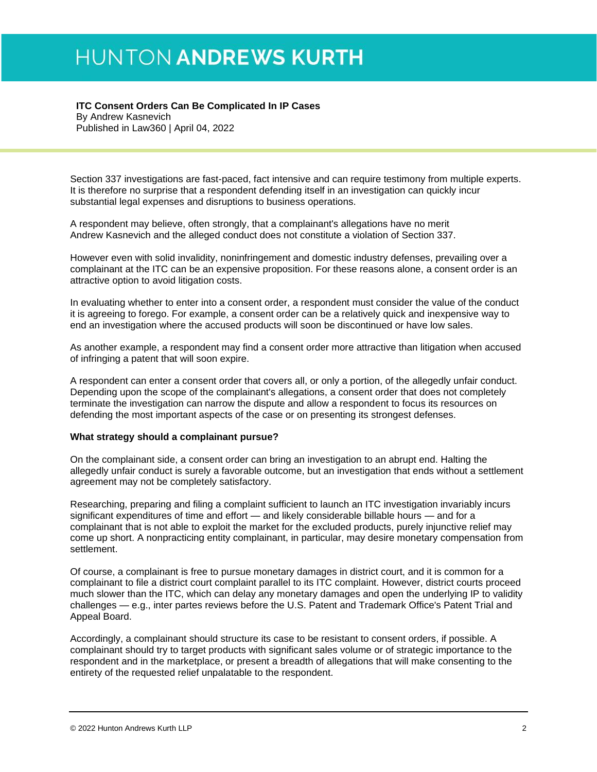#### **ITC Consent Orders Can Be Complicated In IP Cases**  By Andrew Kasnevich

Published in Law360 | April 04, 2022

Section 337 investigations are fast-paced, fact intensive and can require testimony from multiple experts. It is therefore no surprise that a respondent defending itself in an investigation can quickly incur substantial legal expenses and disruptions to business operations.

A respondent may believe, often strongly, that a complainant's allegations have no merit Andrew Kasnevich and the alleged conduct does not constitute a violation of Section 337.

However even with solid invalidity, noninfringement and domestic industry defenses, prevailing over a complainant at the ITC can be an expensive proposition. For these reasons alone, a consent order is an attractive option to avoid litigation costs.

In evaluating whether to enter into a consent order, a respondent must consider the value of the conduct it is agreeing to forego. For example, a consent order can be a relatively quick and inexpensive way to end an investigation where the accused products will soon be discontinued or have low sales.

As another example, a respondent may find a consent order more attractive than litigation when accused of infringing a patent that will soon expire.

A respondent can enter a consent order that covers all, or only a portion, of the allegedly unfair conduct. Depending upon the scope of the complainant's allegations, a consent order that does not completely terminate the investigation can narrow the dispute and allow a respondent to focus its resources on defending the most important aspects of the case or on presenting its strongest defenses.

#### **What strategy should a complainant pursue?**

On the complainant side, a consent order can bring an investigation to an abrupt end. Halting the allegedly unfair conduct is surely a favorable outcome, but an investigation that ends without a settlement agreement may not be completely satisfactory.

Researching, preparing and filing a complaint sufficient to launch an ITC investigation invariably incurs significant expenditures of time and effort — and likely considerable billable hours — and for a complainant that is not able to exploit the market for the excluded products, purely injunctive relief may come up short. A nonpracticing entity complainant, in particular, may desire monetary compensation from settlement.

Of course, a complainant is free to pursue monetary damages in district court, and it is common for a complainant to file a district court complaint parallel to its ITC complaint. However, district courts proceed much slower than the ITC, which can delay any monetary damages and open the underlying IP to validity challenges — e.g., inter partes reviews before the U.S. Patent and Trademark Office's Patent Trial and Appeal Board.

Accordingly, a complainant should structure its case to be resistant to consent orders, if possible. A complainant should try to target products with significant sales volume or of strategic importance to the respondent and in the marketplace, or present a breadth of allegations that will make consenting to the entirety of the requested relief unpalatable to the respondent.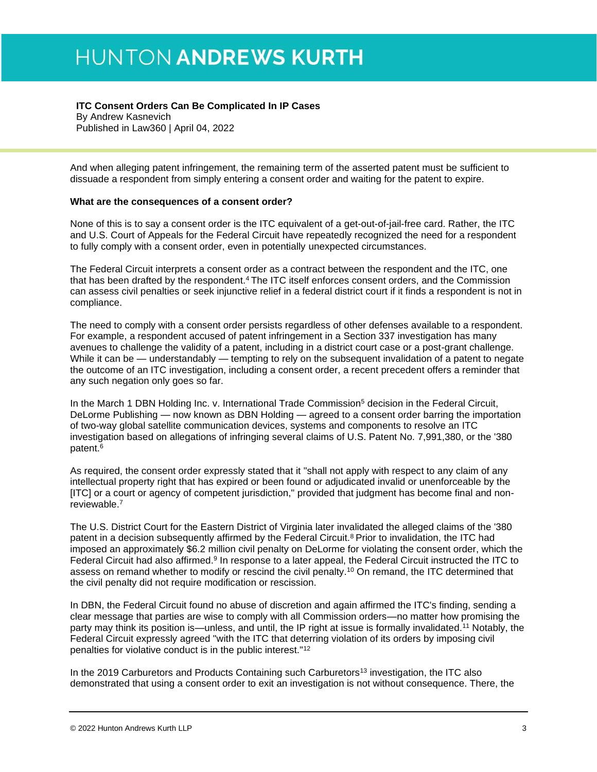#### **ITC Consent Orders Can Be Complicated In IP Cases**

By Andrew Kasnevich Published in Law360 | April 04, 2022

And when alleging patent infringement, the remaining term of the asserted patent must be sufficient to dissuade a respondent from simply entering a consent order and waiting for the patent to expire.

#### **What are the consequences of a consent order?**

None of this is to say a consent order is the ITC equivalent of a get-out-of-jail-free card. Rather, the ITC and U.S. Court of Appeals for the Federal Circuit have repeatedly recognized the need for a respondent to fully comply with a consent order, even in potentially unexpected circumstances.

The Federal Circuit interprets a consent order as a contract between the respondent and the ITC, one that has been drafted by the respondent.<sup>4</sup> The ITC itself enforces consent orders, and the Commission can assess civil penalties or seek injunctive relief in a federal district court if it finds a respondent is not in compliance.

The need to comply with a consent order persists regardless of other defenses available to a respondent. For example, a respondent accused of patent infringement in a Section 337 investigation has many avenues to challenge the validity of a patent, including in a district court case or a post-grant challenge. While it can be — understandably — tempting to rely on the subsequent invalidation of a patent to negate the outcome of an ITC investigation, including a consent order, a recent precedent offers a reminder that any such negation only goes so far.

In the March 1 DBN Holding Inc. v. International Trade Commission<sup>5</sup> decision in the Federal Circuit, DeLorme Publishing — now known as DBN Holding — agreed to a consent order barring the importation of two-way global satellite communication devices, systems and components to resolve an ITC investigation based on allegations of infringing several claims of U.S. Patent No. 7,991,380, or the '380 patent.<sup>6</sup>

As required, the consent order expressly stated that it "shall not apply with respect to any claim of any intellectual property right that has expired or been found or adjudicated invalid or unenforceable by the [ITC] or a court or agency of competent jurisdiction," provided that judgment has become final and nonreviewable.<sup>7</sup>

The U.S. District Court for the Eastern District of Virginia later invalidated the alleged claims of the '380 patent in a decision subsequently affirmed by the Federal Circuit.<sup>8</sup> Prior to invalidation, the ITC had imposed an approximately \$6.2 million civil penalty on DeLorme for violating the consent order, which the Federal Circuit had also affirmed.<sup>9</sup> In response to a later appeal, the Federal Circuit instructed the ITC to assess on remand whether to modify or rescind the civil penalty.<sup>10</sup> On remand, the ITC determined that the civil penalty did not require modification or rescission.

In DBN, the Federal Circuit found no abuse of discretion and again affirmed the ITC's finding, sending a clear message that parties are wise to comply with all Commission orders—no matter how promising the party may think its position is—unless, and until, the IP right at issue is formally invalidated.<sup>11</sup> Notably, the Federal Circuit expressly agreed "with the ITC that deterring violation of its orders by imposing civil penalties for violative conduct is in the public interest."<sup>12</sup>

In the 2019 Carburetors and Products Containing such Carburetors<sup>13</sup> investigation, the ITC also demonstrated that using a consent order to exit an investigation is not without consequence. There, the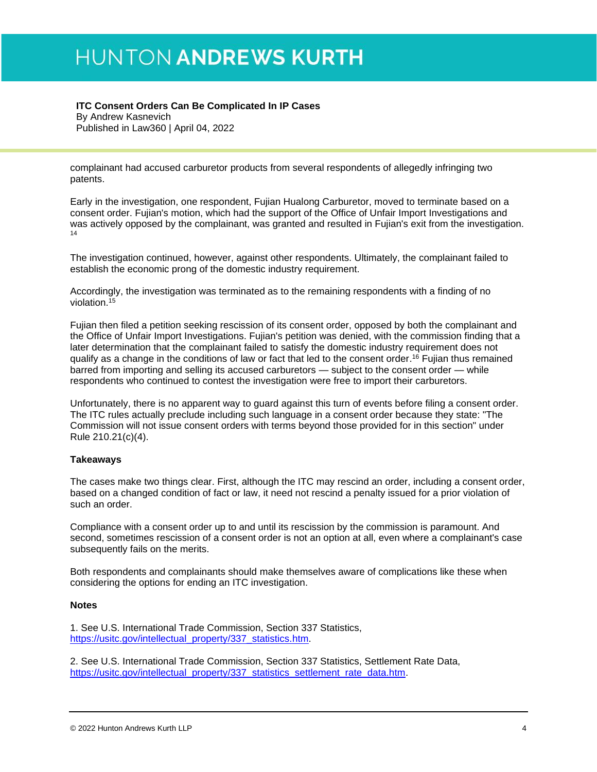#### **ITC Consent Orders Can Be Complicated In IP Cases**

By Andrew Kasnevich Published in Law360 | April 04, 2022

complainant had accused carburetor products from several respondents of allegedly infringing two patents.

Early in the investigation, one respondent, Fujian Hualong Carburetor, moved to terminate based on a consent order. Fujian's motion, which had the support of the Office of Unfair Import Investigations and was actively opposed by the complainant, was granted and resulted in Fujian's exit from the investigation. 14

The investigation continued, however, against other respondents. Ultimately, the complainant failed to establish the economic prong of the domestic industry requirement.

Accordingly, the investigation was terminated as to the remaining respondents with a finding of no violation.<sup>15</sup>

Fujian then filed a petition seeking rescission of its consent order, opposed by both the complainant and the Office of Unfair Import Investigations. Fujian's petition was denied, with the commission finding that a later determination that the complainant failed to satisfy the domestic industry requirement does not qualify as a change in the conditions of law or fact that led to the consent order. <sup>16</sup> Fujian thus remained barred from importing and selling its accused carburetors — subject to the consent order — while respondents who continued to contest the investigation were free to import their carburetors.

Unfortunately, there is no apparent way to guard against this turn of events before filing a consent order. The ITC rules actually preclude including such language in a consent order because they state: "The Commission will not issue consent orders with terms beyond those provided for in this section" under Rule 210.21(c)(4).

#### **Takeaways**

The cases make two things clear. First, although the ITC may rescind an order, including a consent order, based on a changed condition of fact or law, it need not rescind a penalty issued for a prior violation of such an order.

Compliance with a consent order up to and until its rescission by the commission is paramount. And second, sometimes rescission of a consent order is not an option at all, even where a complainant's case subsequently fails on the merits.

Both respondents and complainants should make themselves aware of complications like these when considering the options for ending an ITC investigation.

#### **Notes**

1. See U.S. International Trade Commission, Section 337 Statistics, [https://usitc.gov/intellectual\\_property/337\\_statistics.htm.](https://usitc.gov/intellectual_property/337_statistics.htm)

2. See U.S. International Trade Commission, Section 337 Statistics, Settlement Rate Data, [https://usitc.gov/intellectual\\_property/337\\_statistics\\_settlement\\_rate\\_data.htm.](https://usitc.gov/intellectual_property/337_statistics_settlement_rate_data.htm)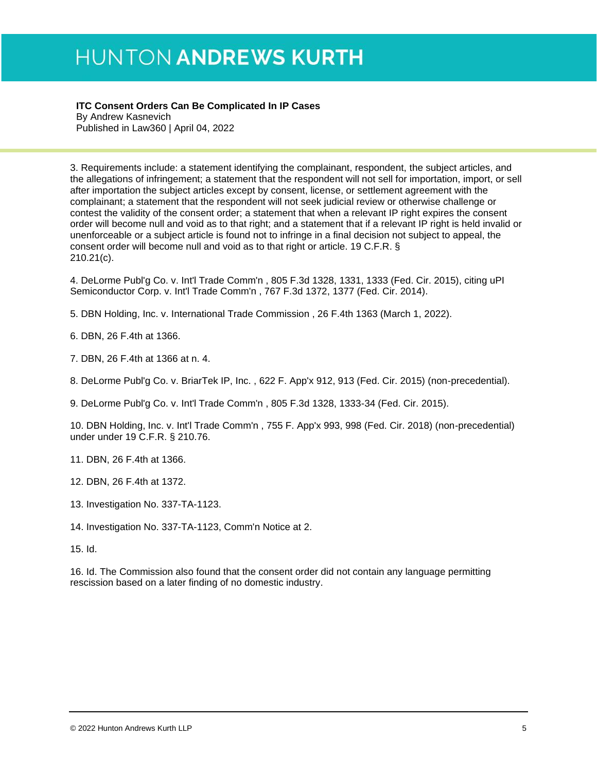**ITC Consent Orders Can Be Complicated In IP Cases** 

By Andrew Kasnevich Published in Law360 | April 04, 2022

3. Requirements include: a statement identifying the complainant, respondent, the subject articles, and the allegations of infringement; a statement that the respondent will not sell for importation, import, or sell after importation the subject articles except by consent, license, or settlement agreement with the complainant; a statement that the respondent will not seek judicial review or otherwise challenge or contest the validity of the consent order; a statement that when a relevant IP right expires the consent order will become null and void as to that right; and a statement that if a relevant IP right is held invalid or unenforceable or a subject article is found not to infringe in a final decision not subject to appeal, the consent order will become null and void as to that right or article. 19 C.F.R. § 210.21(c).

4. DeLorme Publ'g Co. v. Int'l Trade Comm'n , 805 F.3d 1328, 1331, 1333 (Fed. Cir. 2015), citing uPI Semiconductor Corp. v. Int'l Trade Comm'n , 767 F.3d 1372, 1377 (Fed. Cir. 2014).

5. DBN Holding, Inc. v. International Trade Commission , 26 F.4th 1363 (March 1, 2022).

6. DBN, 26 F.4th at 1366.

7. DBN, 26 F.4th at 1366 at n. 4.

8. DeLorme Publ'g Co. v. BriarTek IP, Inc. , 622 F. App'x 912, 913 (Fed. Cir. 2015) (non-precedential).

9. DeLorme Publ'g Co. v. Int'l Trade Comm'n , 805 F.3d 1328, 1333-34 (Fed. Cir. 2015).

10. DBN Holding, Inc. v. Int'l Trade Comm'n , 755 F. App'x 993, 998 (Fed. Cir. 2018) (non-precedential) under under 19 C.F.R. § 210.76.

11. DBN, 26 F.4th at 1366.

12. DBN, 26 F.4th at 1372.

13. Investigation No. 337-TA-1123.

14. Investigation No. 337-TA-1123, Comm'n Notice at 2.

15. Id.

16. Id. The Commission also found that the consent order did not contain any language permitting rescission based on a later finding of no domestic industry.